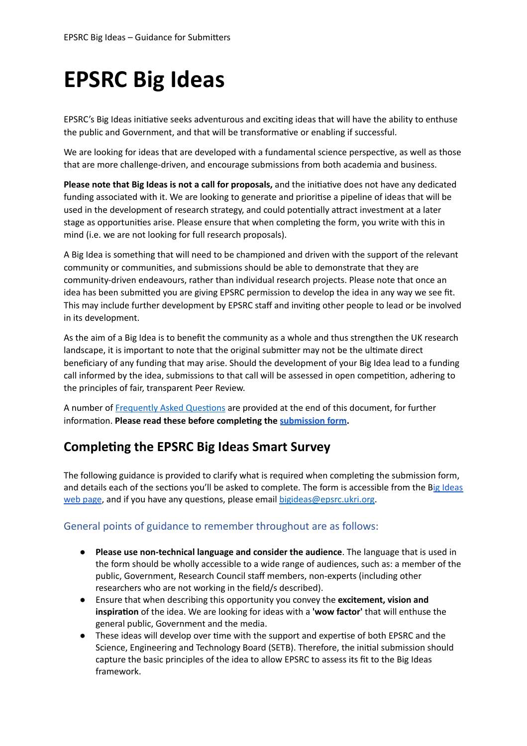# **EPSRC Big Ideas**

EPSRC's Big Ideas initiative seeks adventurous and exciting ideas that will have the ability to enthuse the public and Government, and that will be transformative or enabling if successful.

We are looking for ideas that are developed with a fundamental science perspective, as well as those that are more challenge-driven, and encourage submissions from both academia and business.

**Please note that Big Ideas is not a call for proposals, and the initiative does not have any dedicated** funding associated with it. We are looking to generate and prioritise a pipeline of ideas that will be used in the development of research strategy, and could potentially attract investment at a later stage as opportunities arise. Please ensure that when completing the form, you write with this in mind (i.e. we are not looking for full research proposals).

A Big Idea is something that will need to be championed and driven with the support of the relevant community or communities, and submissions should be able to demonstrate that they are community-driven endeavours, rather than individual research projects. Please note that once an idea has been submitted you are giving EPSRC permission to develop the idea in any way we see fit. This may include further development by EPSRC staff and inving other people to lead or be involved in its development.

As the aim of a Big Idea is to benefit the community as a whole and thus strengthen the UK research landscape, it is important to note that the original submitter may not be the ultimate direct beneficiary of any funding that may arise. Should the development of your Big Idea lead to a funding call informed by the idea, submissions to that call will be assessed in open competition, adhering to the principles of fair, transparent Peer Review.

A number of [Frequently](#page-5-0) Asked Questions are provided at the end of this document, for further information. Please read these before completing the *[submission](https://www.ukri.org/publications/epsrc-big-ideas-guidance-for-applicants/) form*.

# **Compleng the EPSRC Big Ideas Smart Survey**

The following guidance is provided to clarify what is required when completing the submission form, and details each of the sections you'll be asked to complete. The form is accessible from the Big [Ideas](https://www.ukri.org/about-us/epsrc/who-we-are/big-ideas/) web [page,](https://www.ukri.org/about-us/epsrc/who-we-are/big-ideas/) and if you have any questions, please email [bigideas@epsrc.ukri.org](mailto:bigideas@epsrc.ukri.org).

# General points of guidance to remember throughout are as follows:

- **Please use non-technical language and consider the audience**. The language that is used in the form should be wholly accessible to a wide range of audiences, such as: a member of the public, Government, Research Council staff members, non-experts (including other researchers who are not working in the field/s described).
- Ensure that when describing this opportunity you convey the **excitement, vision and** inspiration of the idea. We are looking for ideas with a 'wow factor' that will enthuse the general public, Government and the media.
- These ideas will develop over time with the support and expertise of both EPSRC and the Science, Engineering and Technology Board (SETB). Therefore, the initial submission should capture the basic principles of the idea to allow EPSRC to assess its fit to the Big Ideas framework.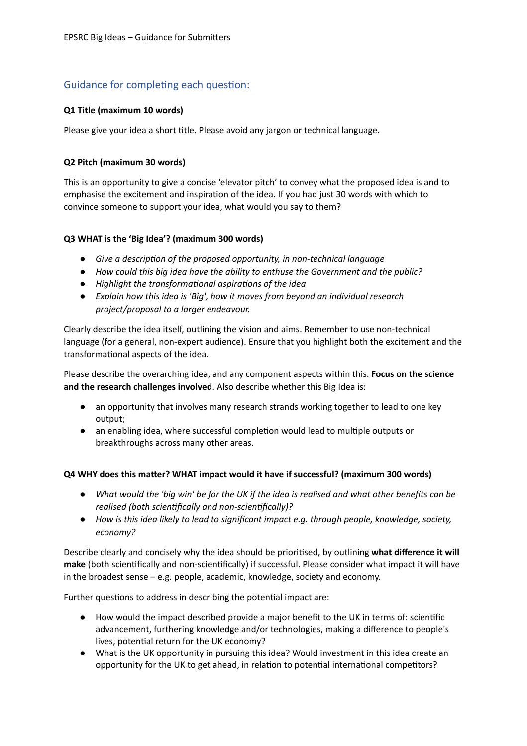# Guidance for completing each question:

# **Q1 Title (maximum 10 words)**

Please give your idea a short title. Please avoid any jargon or technical language.

#### **Q2 Pitch (maximum 30 words)**

This is an opportunity to give a concise 'elevator pitch' to convey what the proposed idea is and to emphasise the excitement and inspiration of the idea. If you had just 30 words with which to convince someone to support your idea, what would you say to them?

#### **Q3 WHAT is the 'Big Idea'? (maximum 300 words)**

- *● Give a descripon of the proposed opportunity, in non-technical language*
- *● How could this big idea have the ability to enthuse the Government and the public?*
- **•** Highlight the transformational aspirations of the *idea*
- *Explain how this idea is 'Big', how it moves from beyond an individual research project/proposal to a larger endeavour.*

Clearly describe the idea itself, outlining the vision and aims. Remember to use non-technical language (for a general, non-expert audience). Ensure that you highlight both the excitement and the transformational aspects of the idea.

Please describe the overarching idea, and any component aspects within this. **Focus on the science and the research challenges involved**. Also describe whether this Big Idea is:

- *●* an opportunity that involves many research strands working together to lead to one key output;
- an enabling idea, where successful completion would lead to multiple outputs or breakthroughs across many other areas.

#### **Q4 WHY does this maer? WHAT impact would it have if successful? (maximum 300 words)**

- What would the 'big win' be for the UK if the idea is realised and what other benefits can be *realised (both scienfically and non-scienfically)?*
- *● How is this idea likely to lead to significant impact e.g. through people, knowledge, society, economy?*

Describe clearly and concisely why the idea should be priorised, by outlining **what difference it will** make (both scientifically and non-scientifically) if successful. Please consider what impact it will have in the broadest sense – e.g. people, academic, knowledge, society and economy.

Further questions to address in describing the potential impact are:

- How would the impact described provide a major benefit to the UK in terms of: scientific advancement, furthering knowledge and/or technologies, making a difference to people's lives, potential return for the UK economy?
- **●** What is the UK opportunity in pursuing this idea? Would investment in this idea create an opportunity for the UK to get ahead, in relation to potential international competitors?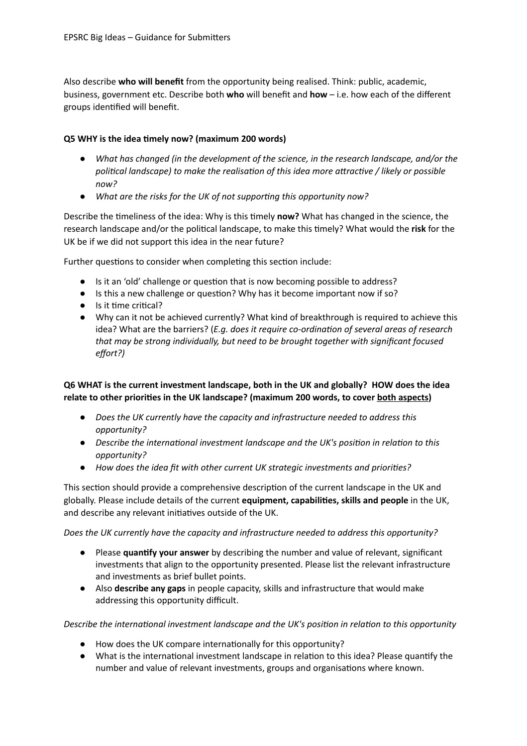Also describe **who will benefit** from the opportunity being realised. Think: public, academic, business, government etc. Describe both **who** will benefit and **how** – i.e. how each of the different groups idenfied will benefit.

#### **Q5 WHY is the idea mely now? (maximum 200 words)**

- *● What has changed (in the development of the science, in the research landscape, and/or the polical landscape) to make the realisaon of this idea more aracve / likely or possible now?*
- *● What are the risks for the UK of not supporng this opportunity now?*

Describe the timeliness of the idea: Why is this timely now? What has changed in the science, the research landscape and/or the political landscape, to make this timely? What would the risk for the UK be if we did not support this idea in the near future?

Further questions to consider when completing this section include:

- Is it an 'old' challenge or question that is now becoming possible to address?
- Is this a new challenge or question? Why has it become important now if so?
- Is it time critical?
- Why can it not be achieved currently? What kind of breakthrough is required to achieve this idea? What are the barriers? (*E.g. does it require co-ordination of several areas of research that may be strong individually, but need to be brought together with significant focused effort?)*

# **Q6 WHAT is the current investment landscape, both in the UK and globally? HOW does the idea relate to other priories in the UK landscape? (maximum 200 words, to cover both aspects)**

- *● Does the UK currently have the capacity and infrastructure needed to address this opportunity?*
- *Describe the international investment landscape and the UK's position in relation to this opportunity?*
- *● How does the idea fit with other current UK strategic investments and priories?*

This section should provide a comprehensive description of the current landscape in the UK and globally. Please include details of the current **equipment, capabilies, skills and people** in the UK, and describe any relevant initiatives outside of the UK.

*Does the UK currently have the capacity and infrastructure needed to address this opportunity?*

- Please **quanfy your answer** by describing the number and value of relevant, significant investments that align to the opportunity presented. Please list the relevant infrastructure and investments as brief bullet points.
- Also **describe any gaps** in people capacity, skills and infrastructure that would make addressing this opportunity difficult.

*Describe the international investment landscape and the UK's position in relation to this opportunity* 

- How does the UK compare internationally for this opportunity?
- What is the international investment landscape in relation to this idea? Please quantify the number and value of relevant investments, groups and organisations where known.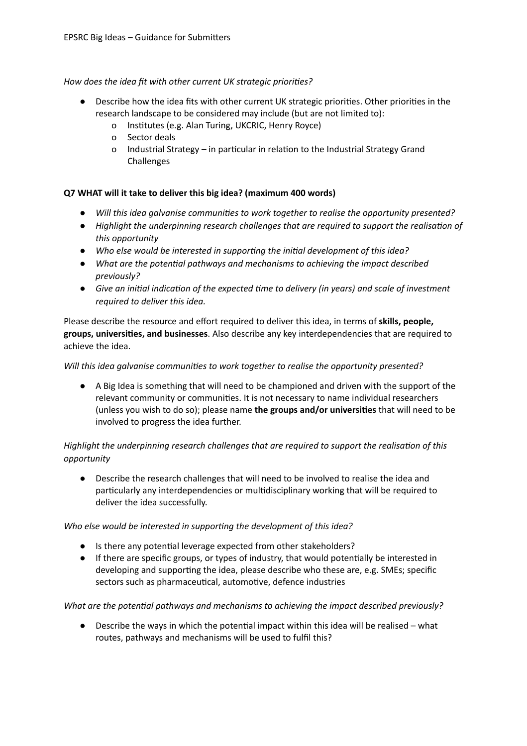#### *How does the idea fit with other current UK strategic priories?*

- Describe how the idea fits with other current UK strategic priorities. Other priorities in the research landscape to be considered may include (but are not limited to):
	- o Institutes (e.g. Alan Turing, UKCRIC, Henry Royce)
	- o Sector deals
	- o Industrial Strategy in particular in relation to the Industrial Strategy Grand Challenges

#### **Q7 WHAT will it take to deliver this big idea? (maximum 400 words)**

- *Will* this *idea galvanise communities to work together to realise the opportunity presented?*
- *● Highlight the underpinning research challenges that are required to support the realisaon of this opportunity*
- *● Who else would be interested in supporng the inial development of this idea?*
- *● What are the potenal pathways and mechanisms to achieving the impact described previously?*
- *● Give an inial indicaon of the expected me to delivery (in years) and scale of investment required to deliver this idea.*

Please describe the resource and effort required to deliver this idea, in terms of **skills, people, groups, universies, and businesses**. Also describe any key interdependencies that are required to achieve the idea.

#### *Will* this *idea* galvanise *communities* to work *together* to *realise the opportunity presented?*

A Big Idea is something that will need to be championed and driven with the support of the relevant community or communities. It is not necessary to name individual researchers (unless you wish to do so); please name **the groups and/or universies** that will need to be involved to progress the idea further.

# *Highlight the underpinning research challenges that are required to support the realisaon of this opportunity*

● Describe the research challenges that will need to be involved to realise the idea and particularly any interdependencies or multidisciplinary working that will be required to deliver the idea successfully.

#### *Who* else would be interested in supporting the development of this idea?

- Is there any potential leverage expected from other stakeholders?
- **•** If there are specific groups, or types of industry, that would potentially be interested in developing and supporting the idea, please describe who these are, e.g. SMEs; specific sectors such as pharmaceutical, automotive, defence industries

#### *What* are the potential pathways and mechanisms to achieving the impact described previously?

Describe the ways in which the potential impact within this idea will be realised – what routes, pathways and mechanisms will be used to fulfil this?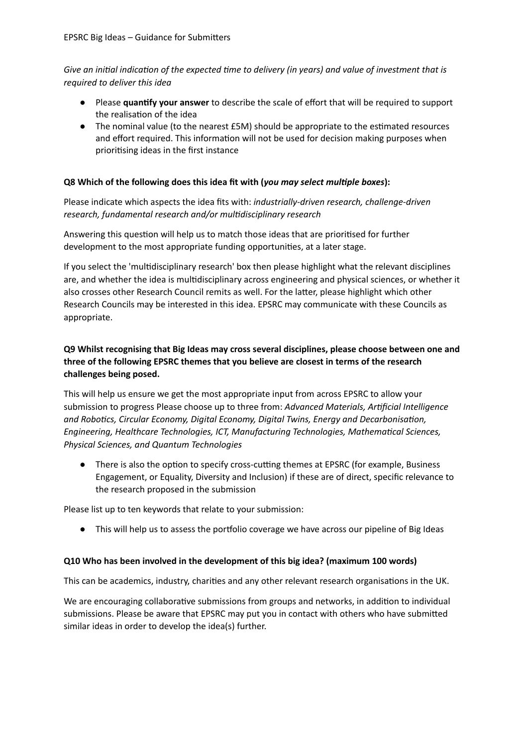*Give an inial indicaon of the expected me to delivery (in years) and value of investment that is required to deliver this idea*

- Please **quanfy your answer** to describe the scale of effort that will be required to support the realisation of the idea
- The nominal value (to the nearest £5M) should be appropriate to the estimated resources and effort required. This information will not be used for decision making purposes when prioritising ideas in the first instance

#### **Q8 Which of the following does this idea fit with (***you may select mulple boxes***):**

Please indicate which aspects the idea fits with: *industrially-driven research, challenge-driven research, fundamental research and/or muldisciplinary research*

Answering this question will help us to match those ideas that are prioritised for further development to the most appropriate funding opportunities, at a later stage.

If you select the 'muldisciplinary research' box then please highlight what the relevant disciplines are, and whether the idea is multidisciplinary across engineering and physical sciences, or whether it also crosses other Research Council remits as well. For the latter, please highlight which other Research Councils may be interested in this idea. EPSRC may communicate with these Councils as appropriate.

# **Q9 Whilst recognising that Big Ideas may cross several disciplines, please choose between one and three of the following EPSRC themes that you believe are closest in terms of the research challenges being posed.**

This will help us ensure we get the most appropriate input from across EPSRC to allow your submission to progress Please choose up to three from: *Advanced Materials, Arficial Intelligence and Robocs, Circular Economy, Digital Economy, Digital Twins, Energy and Decarbonisaon, Engineering, Healthcare Technologies, ICT, Manufacturing Technologies, Mathemacal Sciences, Physical Sciences, and Quantum Technologies*

There is also the option to specify cross-cutting themes at EPSRC (for example, Business Engagement, or Equality, Diversity and Inclusion) if these are of direct, specific relevance to the research proposed in the submission

Please list up to ten keywords that relate to your submission:

• This will help us to assess the portfolio coverage we have across our pipeline of Big Ideas

#### **Q10 Who has been involved in the development of this big idea? (maximum 100 words)**

This can be academics, industry, charities and any other relevant research organisations in the UK.

We are encouraging collaborative submissions from groups and networks, in addition to individual submissions. Please be aware that EPSRC may put you in contact with others who have submitted similar ideas in order to develop the idea(s) further.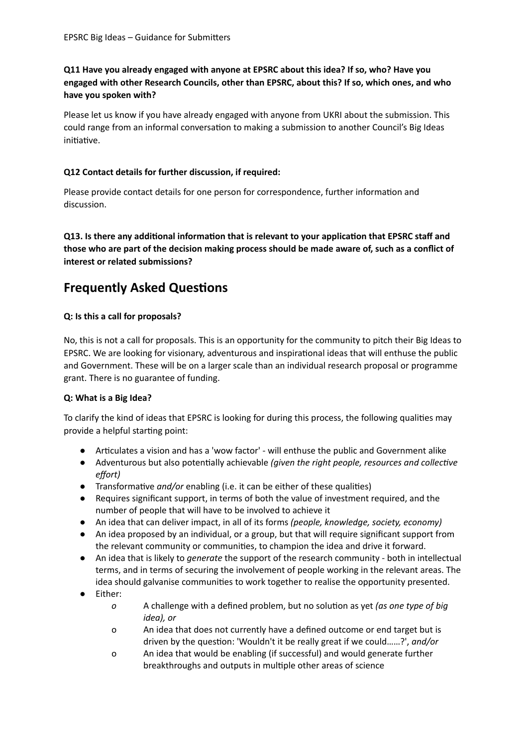**Q11 Have you already engaged with anyone at EPSRC about this idea? If so, who? Have you engaged with other Research Councils, other than EPSRC, about this? If so, which ones, and who have you spoken with?**

Please let us know if you have already engaged with anyone from UKRI about the submission. This could range from an informal conversation to making a submission to another Council's Big Ideas initiative.

#### **Q12 Contact details for further discussion, if required:**

Please provide contact details for one person for correspondence, further information and discussion.

**Q13.** Is there any additional information that is relevant to your application that EPSRC staff and those who are part of the decision making process should be made aware of, such as a conflict of **interest or related submissions?**

# <span id="page-5-0"></span>**Frequently Asked Questions**

# **Q: Is this a call for proposals?**

No, this is not a call for proposals. This is an opportunity for the community to pitch their Big Ideas to EPSRC. We are looking for visionary, adventurous and inspirational ideas that will enthuse the public and Government. These will be on a larger scale than an individual research proposal or programme grant. There is no guarantee of funding.

# **Q: What is a Big Idea?**

To clarify the kind of ideas that EPSRC is looking for during this process, the following qualities may provide a helpful starting point:

- Articulates a vision and has a 'wow factor' will enthuse the public and Government alike
- Adventurous but also potentially achievable *(given the right people, resources and collective effort)*
- **•** Transformative and/or enabling (i.e. it can be either of these qualities)
- Requires significant support, in terms of both the value of investment required, and the number of people that will have to be involved to achieve it
- An idea that can deliver impact, in all of its forms *(people, knowledge, society, economy)*
- An idea proposed by an individual, or a group, but that will require significant support from the relevant community or communities, to champion the idea and drive it forward.
- An idea that is likely to *generate* the support of the research community both in intellectual terms, and in terms of securing the involvement of people working in the relevant areas. The idea should galvanise communities to work together to realise the opportunity presented.
- Either:
	- *o* A challenge with a defined problem, but no solution as yet *(as one type of big idea), or*
	- o An idea that does not currently have a defined outcome or end target but is driven by the question: 'Wouldn't it be really great if we could......?', and/or
	- o An idea that would be enabling (if successful) and would generate further breakthroughs and outputs in multiple other areas of science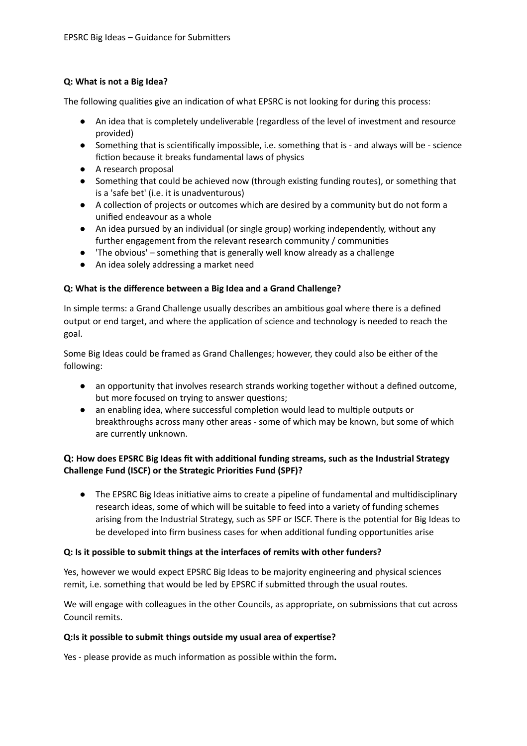# **Q: What is not a Big Idea?**

The following qualities give an indication of what EPSRC is not looking for during this process:

- An idea that is completely undeliverable (regardless of the level of investment and resource provided)
- Something that is scienfically impossible, i.e. something that is and always will be science fiction because it breaks fundamental laws of physics
- A research proposal
- Something that could be achieved now (through existing funding routes), or something that is a 'safe bet' (i.e. it is unadventurous)
- A collection of projects or outcomes which are desired by a community but do not form a unified endeavour as a whole
- An idea pursued by an individual (or single group) working independently, without any further engagement from the relevant research community / communities
- 'The obvious' something that is generally well know already as a challenge
- An idea solely addressing a market need

# **Q: What is the difference between a Big Idea and a Grand Challenge?**

In simple terms: a Grand Challenge usually describes an ambitious goal where there is a defined output or end target, and where the application of science and technology is needed to reach the goal.

Some Big Ideas could be framed as Grand Challenges; however, they could also be either of the following:

- *●* an opportunity that involves research strands working together without a defined outcome, but more focused on trying to answer questions;
- an enabling idea, where successful completion would lead to multiple outputs or breakthroughs across many other areas - some of which may be known, but some of which are currently unknown.

# **Q: How does EPSRC Big Ideas fit with addional funding streams, such as the Industrial Strategy Challenge Fund (ISCF) or the Strategic Priories Fund (SPF)?**

• The EPSRC Big Ideas initiative aims to create a pipeline of fundamental and multidisciplinary research ideas, some of which will be suitable to feed into a variety of funding schemes arising from the Industrial Strategy, such as SPF or ISCF. There is the potential for Big Ideas to be developed into firm business cases for when additional funding opportunities arise

# **Q: Is it possible to submit things at the interfaces of remits with other funders?**

Yes, however we would expect EPSRC Big Ideas to be majority engineering and physical sciences remit, i.e. something that would be led by EPSRC if submitted through the usual routes.

We will engage with colleagues in the other Councils, as appropriate, on submissions that cut across Council remits.

#### **Q:Is it possible to submit things outside my usual area of experse?**

Yes - please provide as much information as possible within the form.